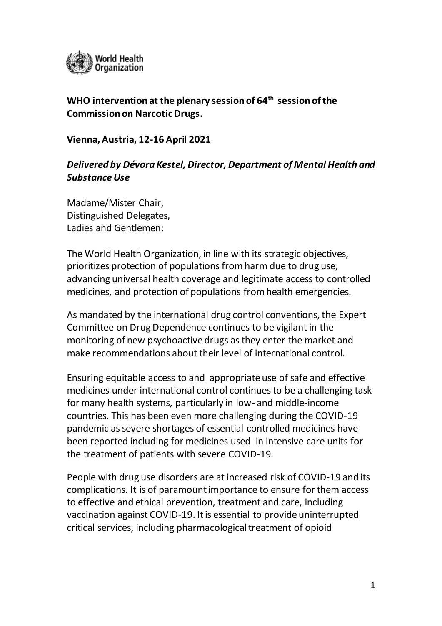

## **WHO intervention at the plenary session of 64 th session of the Commission on Narcotic Drugs.**

**Vienna, Austria, 12-16 April 2021**

## *Delivered by Dévora Kestel, Director, Department of Mental Health and Substance Use*

Madame/Mister Chair, Distinguished Delegates, Ladies and Gentlemen:

The World Health Organization, in line with its strategic objectives, prioritizes protection of populations from harm due to drug use, advancing universal health coverage and legitimate access to controlled medicines, and protection of populations from health emergencies.

As mandated by the international drug control conventions, the Expert Committee on Drug Dependence continues to be vigilant in the monitoring of new psychoactive drugs as they enter the market and make recommendations about their level of international control.

Ensuring equitable access to and appropriate use of safe and effective medicines under international control continues to be a challenging task for many health systems, particularly in low- and middle-income countries. This has been even more challenging during the COVID-19 pandemic as severe shortages of essential controlled medicines have been reported including for medicines used in intensive care units for the treatment of patients with severe COVID-19.

People with drug use disorders are at increased risk of COVID-19 and its complications. It is of paramount importance to ensure for them access to effective and ethical prevention, treatment and care, including vaccination against COVID-19. It is essential to provide uninterrupted critical services, including pharmacological treatment of opioid